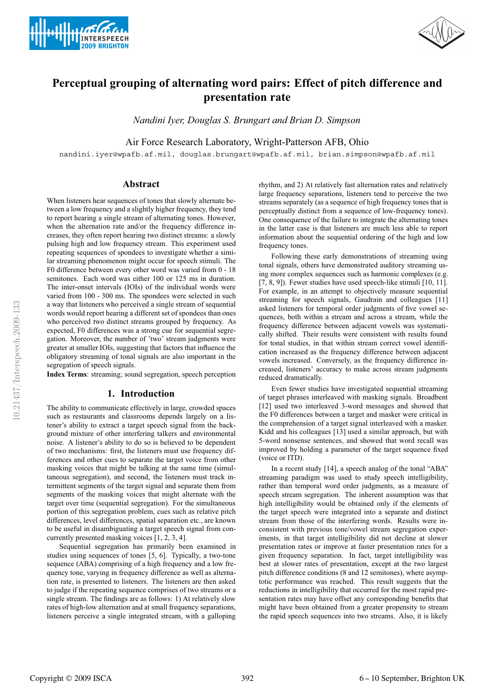



# **Perceptual grouping of alternating word pairs: Effect of pitch difference and presentation rate**

*Nandini Iyer, Douglas S. Brungart and Brian D. Simpson*

Air Force Research Laboratory, Wright-Patterson AFB, Ohio

nandini.iyer@wpafb.af.mil, douglas.brungart@wpafb.af.mil, brian.simpson@wpafb.af.mil

## **Abstract**

When listeners hear sequences of tones that slowly alternate between a low frequency and a slightly higher frequency, they tend to report hearing a single stream of alternating tones. However, when the alternation rate and/or the frequency difference increases, they often report hearing two distinct streams: a slowly pulsing high and low frequency stream. This experiment used repeating sequences of spondees to investigate whether a similar streaming phenomenon might occur for speech stimuli. The F0 difference between every other word was varied from 0 - 18 semitones. Each word was either 100 or 125 ms in duration. The inter-onset intervals (IOIs) of the individual words were varied from 100 - 300 ms. The spondees were selected in such a way that listeners who perceived a single stream of sequential words would report hearing a different set of spondees than ones who perceived two distinct streams grouped by frequency. As expected, F0 differences was a strong cue for sequential segregation. Moreover, the number of 'two' stream judgments were greater at smaller IOIs, suggesting that factors that influence the obligatory streaming of tonal signals are also important in the segregation of speech signals.

**Index Terms**: streaming; sound segregation, speech perception

## **1. Introduction**

The ability to communicate effectively in large, crowded spaces such as restaurants and classrooms depends largely on a listener's ability to extract a target speech signal from the background mixture of other interfering talkers and environmental noise. A listener's ability to do so is believed to be dependent of two mechanisms: first, the listeners must use frequency differences and other cues to separate the target voice from other masking voices that might be talking at the same time (simultaneous segregation), and second, the listeners must track intermittent segments of the target signal and separate them from segments of the masking voices that might alternate with the target over time (sequential segregation). For the simultaneous portion of this segregation problem, cues such as relative pitch differences, level differences, spatial separation etc., are known to be useful in disambiguating a target speech signal from concurrently presented masking voices [1, 2, 3, 4].

Sequential segregation has primarily been examined in studies using sequences of tones [5, 6]. Typically, a two-tone sequence (ABA) comprising of a high frequency and a low frequency tone, varying in frequency difference as well as alternation rate, is presented to listeners. The listeners are then asked to judge if the repeating sequence comprises of two streams or a single stream. The findings are as follows: 1) At relatively slow rates of high-low alternation and at small frequency separations, listeners perceive a single integrated stream, with a galloping

rhythm, and 2) At relatively fast alternation rates and relatively large frequency separations, listeners tend to perceive the two streams separately (as a sequence of high frequency tones that is perceptually distinct from a sequence of low-frequency tones). One consequence of the failure to integrate the alternating tones in the latter case is that listeners are much less able to report information about the sequential ordering of the high and low frequency tones.

Following these early demonstrations of streaming using tonal signals, others have demonstrated auditory streaming using more complex sequences such as harmonic complexes (e.g. [7, 8, 9]). Fewer studies have used speech-like stimuli [10, 11]. For example, in an attempt to objectively measure sequential streaming for speech signals, Gaudrain and colleagues [11] asked listeners for temporal order judgments of five vowel sequences, both within a stream and across a stream, while the frequency difference between adjacent vowels was systematically shifted. Their results were consistent with results found for tonal studies, in that within stream correct vowel identification increased as the frequency difference between adjacent vowels increased. Conversely, as the frequency difference increased, listeners' accuracy to make across stream judgments reduced dramatically.

Even fewer studies have investigated sequential streaming of target phrases interleaved with masking signals. Broadbent [12] used two interleaved 3-word messages and showed that the F0 differences between a target and masker were critical in the comprehension of a target signal interleaved with a masker. Kidd and his colleagues [13] used a similar approach, but with 5-word nonsense sentences, and showed that word recall was improved by holding a parameter of the target sequence fixed (voice or ITD).

In a recent study [14], a speech analog of the tonal "ABA" streaming paradigm was used to study speech intelligibility, rather than temporal word order judgments, as a measure of speech stream segregation. The inherent assumption was that high intelligibility would be obtained only if the elements of the target speech were integrated into a separate and distinct stream from those of the interfering words. Results were inconsistent with previous tone/vowel stream segregation experiments, in that target intelligibility did not decline at slower presentation rates or improve at faster presentation rates for a given frequency separation. In fact, target intelligibility was best at slower rates of presentation, except at the two largest pitch difference conditions (8 and 12 semitones), where asymptotic performance was reached. This result suggests that the reductions in intelligibility that occurred for the most rapid presentation rates may have offset any corresponding benefits that might have been obtained from a greater propensity to stream the rapid speech sequences into two streams. Also, it is likely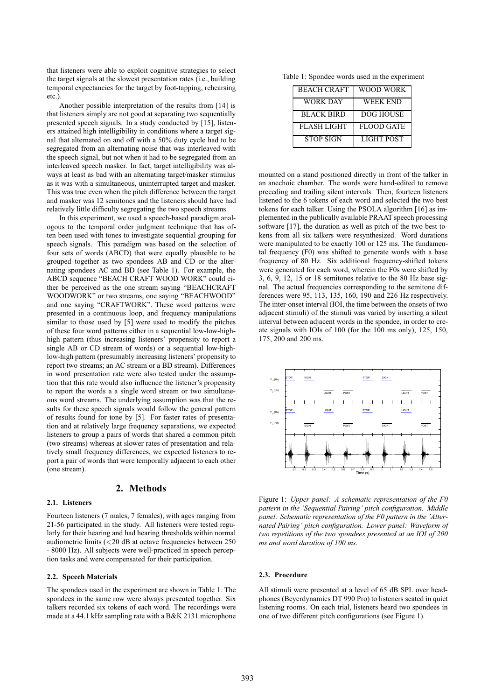that listeners were able to exploit cognitive strategies to select the target signals at the slowest presentation rates (i.e., building temporal expectancies for the target by foot-tapping, rehearsing etc.).

Another possible interpretation of the results from [14] is that listeners simply are not good at separating two sequentially presented speech signals. In a study conducted by [15], listeners attained high intelligibility in conditions where a target signal that alternated on and off with a 50% duty cycle had to be segregated from an alternating noise that was interleaved with the speech signal, but not when it had to be segregated from an interleaved speech masker. In fact, target intelligibility was always at least as bad with an alternating target/masker stimulus as it was with a simultaneous, uninterrupted target and masker. This was true even when the pitch difference between the target and masker was 12 semitones and the listeners should have had relatively little difficulty segregating the two speech streams.

In this experiment, we used a speech-based paradigm analogous to the temporal order judgment technique that has often been used with tones to investigate sequential grouping for speech signals. This paradigm was based on the selection of four sets of words (ABCD) that were equally plausible to be grouped together as two spondees AB and CD or the alternating spondees AC and BD (see Table 1). For example, the ABCD sequence "BEACH CRAFT WOOD WORK" could either be perceived as the one stream saying "BEACHCRAFT WOODWORK" or two streams, one saying "BEACHWOOD" and one saying "CRAFTWORK". These word patterns were presented in a continuous loop, and frequency manipulations similar to those used by [5] were used to modify the pitches of these four word patterns either in a sequential low-low-highhigh pattern (thus increasing listeners' propensity to report a single AB or CD stream of words) or a sequential low-highlow-high pattern (presumably increasing listeners' propensity to report two streams; an AC stream or a BD stream). Differences in word presentation rate were also tested under the assumption that this rate would also influence the listener's propensity to report the words a a single word stream or two simultaneous word streams. The underlying assumption was that the results for these speech signals would follow the general pattern of results found for tone by [5]. For faster rates of presentation and at relatively large frequency separations, we expected listeners to group a pairs of words that shared a common pitch (two streams) whereas at slower rates of presentation and relatively small frequency differences, we expected listeners to report a pair of words that were temporally adjacent to each other (one stream).

## **2. Methods**

#### **2.1. Listeners**

Fourteen listeners (7 males, 7 females), with ages ranging from 21-56 participated in the study. All listeners were tested regularly for their hearing and had hearing thresholds within normal audiometric limits (<20 dB at octave frequencies between 250 - 8000 Hz). All subjects were well-practiced in speech perception tasks and were compensated for their participation.

#### **2.2. Speech Materials**

The spondees used in the experiment are shown in Table 1. The spondees in the same row were always presented together. Six talkers recorded six tokens of each word. The recordings were made at a 44.1 kHz sampling rate with a B&K 2131 microphone

Table 1: Spondee words used in the experiment

| <b>BEACH CRAFT</b> | WOOD WORK         |
|--------------------|-------------------|
| WORK DAY           | WEEK END          |
| <b>BLACK BIRD</b>  | <b>DOG HOUSE</b>  |
| <b>FLASH LIGHT</b> | <b>FLOOD GATE</b> |
| <b>STOP SIGN</b>   | <b>LIGHT POST</b> |

mounted on a stand positioned directly in front of the talker in an anechoic chamber. The words were hand-edited to remove preceding and trailing silent intervals. Then, fourteen listeners listened to the 6 tokens of each word and selected the two best tokens for each talker. Using the PSOLA algorithm [16] as implemented in the publically available PRAAT speech processing software [17], the duration as well as pitch of the two best tokens from all six talkers were resynthesized. Word durations were manipulated to be exactly 100 or 125 ms. The fundamental frequency (F0) was shifted to generate words with a base frequency of 80 Hz. Six additional frequency-shifted tokens were generated for each word, wherein the F0s were shifted by 3, 6, 9, 12, 15 or 18 semitones relative to the 80 Hz base signal. The actual frequencies corresponding to the semitone differences were 95, 113, 135, 160, 190 and 226 Hz respectively. The inter-onset interval (IOI, the time between the onsets of two adjacent stimuli) of the stimuli was varied by inserting a silent interval between adjacent words in the spondee, in order to create signals with IOIs of 100 (for the 100 ms only), 125, 150, 175, 200 and 200 ms.



Figure 1: *Upper panel: A schematic representation of the F0 pattern in the 'Sequential Pairing' pitch configuration. Middle panel: Schematic representation of the F0 pattern in the 'Alternated Pairing' pitch configuration. Lower panel: Waveform of two repetitions of the two spondees presented at an IOI of 200 ms and word duration of 100 ms.*

### **2.3. Procedure**

All stimuli were presented at a level of 65 dB SPL over headphones (Beyerdynamics DT 990 Pro) to listeners seated in quiet listening rooms. On each trial, listeners heard two spondees in one of two different pitch configurations (see Figure 1).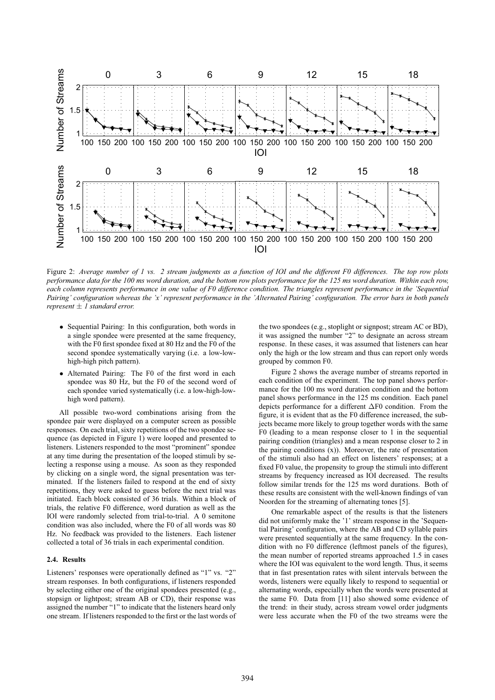

Figure 2: *Average number of 1 vs. 2 stream judgments as a function of IOI and the different F0 differences. The top row plots performance data for the 100 ms word duration, and the bottom row plots performance for the 125 ms word duration. Within each row, each column represents performance in one value of F0 difference condition. The triangles represent performance in the 'Sequential Pairing' configuration whereas the 'x' represent performance in the 'Alternated Pairing' configuration. The error bars in both panels represent* ± *1 standard error.*

- Sequential Pairing: In this configuration, both words in a single spondee were presented at the same frequency, with the F0 first spondee fixed at 80 Hz and the F0 of the second spondee systematically varying (i.e. a low-lowhigh-high pitch pattern).
- Alternated Pairing: The F0 of the first word in each spondee was 80 Hz, but the F0 of the second word of each spondee varied systematically (i.e. a low-high-lowhigh word pattern).

All possible two-word combinations arising from the spondee pair were displayed on a computer screen as possible responses. On each trial, sixty repetitions of the two spondee sequence (as depicted in Figure 1) were looped and presented to listeners. Listeners responded to the most "prominent" spondee at any time during the presentation of the looped stimuli by selecting a response using a mouse. As soon as they responded by clicking on a single word, the signal presentation was terminated. If the listeners failed to respond at the end of sixty repetitions, they were asked to guess before the next trial was initiated. Each block consisted of 36 trials. Within a block of trials, the relative F0 difference, word duration as well as the IOI were randomly selected from trial-to-trial. A 0 semitone condition was also included, where the F0 of all words was 80 Hz. No feedback was provided to the listeners. Each listener collected a total of 36 trials in each experimental condition.

#### **2.4. Results**

Listeners' responses were operationally defined as "1" vs. "2" stream responses. In both configurations, if listeners responded by selecting either one of the original spondees presented (e.g., stopsign or lightpost; stream AB or CD), their response was assigned the number "1" to indicate that the listeners heard only one stream. If listeners responded to the first or the last words of the two spondees (e.g., stoplight or signpost; stream AC or BD), it was assigned the number "2" to designate an across stream response. In these cases, it was assumed that listeners can hear only the high or the low stream and thus can report only words grouped by common F0.

Figure 2 shows the average number of streams reported in each condition of the experiment. The top panel shows performance for the 100 ms word duration condition and the bottom panel shows performance in the 125 ms condition. Each panel depicts performance for a different ΔF0 condition. From the figure, it is evident that as the F0 difference increased, the subjects became more likely to group together words with the same F0 (leading to a mean response closer to 1 in the sequential pairing condition (triangles) and a mean response closer to 2 in the pairing conditions (x)). Moreover, the rate of presentation of the stimuli also had an effect on listeners' responses; at a fixed F0 value, the propensity to group the stimuli into different streams by frequency increased as IOI decreased. The results follow similar trends for the 125 ms word durations. Both of these results are consistent with the well-known findings of van Noorden for the streaming of alternating tones [5].

One remarkable aspect of the results is that the listeners did not uniformly make the '1' stream response in the 'Sequential Pairing' configuration, where the AB and CD syllable pairs were presented sequentially at the same frequency. In the condition with no F0 difference (leftmost panels of the figures), the mean number of reported streams approached 1.5 in cases where the IOI was equivalent to the word length. Thus, it seems that in fast presentation rates with silent intervals between the words, listeners were equally likely to respond to sequential or alternating words, especially when the words were presented at the same F0. Data from [11] also showed some evidence of the trend: in their study, across stream vowel order judgments were less accurate when the F0 of the two streams were the